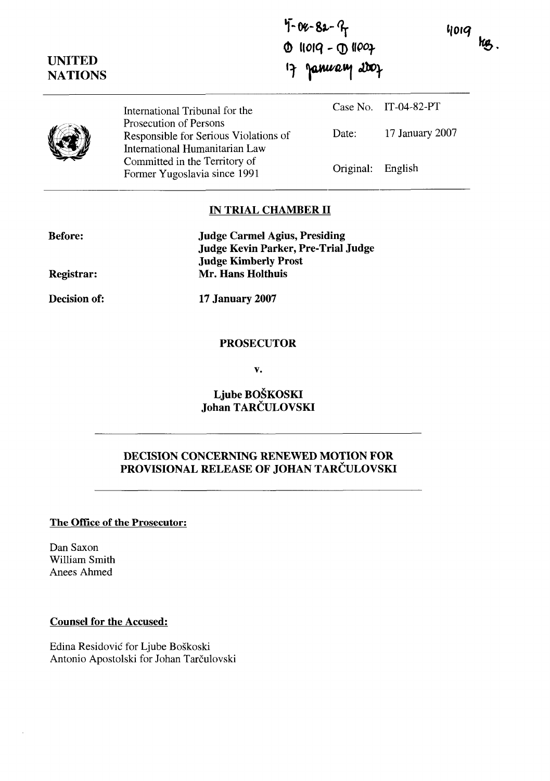4019 kg.

 $4 - 82 - 9$ <br>  $0$  11019 -  $0$  11007 January 2007  $\mathbf{p}$ 

|  | International Tribunal for the<br>Prosecution of Persons<br>Responsible for Serious Violations of<br>International Humanitarian Law<br>Committed in the Territory of<br>Former Yugoslavia since 1991 |                   | Case No. IT-04-82-PT |
|--|------------------------------------------------------------------------------------------------------------------------------------------------------------------------------------------------------|-------------------|----------------------|
|  |                                                                                                                                                                                                      | Date:             | 17 January 2007      |
|  |                                                                                                                                                                                                      | Original: English |                      |

## **IN TRIAL CHAMBER II**

| <b>Before:</b> | <b>Judge Carmel Agius, Presiding</b> |  |
|----------------|--------------------------------------|--|
|                | Judge Kevin Parker, Pre-Trial Judge  |  |
|                | <b>Judge Kimberly Prost</b>          |  |
| Registrar:     | Mr. Hans Holthuis                    |  |

**Decision of:** 

**UNITED NATIONS** 

**17 January 2007** 

#### **PROSECUTOR**

 $\mathbf{v}$ .

**Ljube BOSKOSKI Johan TARCULOVSKI** 

# **DECISION CONCERNING RENEWED MOTION FOR PROVISIONAL RELEASE OF JOHAN TARCULOVSKI**

### **The Office of the Prosecutor:**

Dan Saxon William Smith Anees Ahmed

### **Counsel for the Accused:**

Edina Residovic' for Ljube BoSkoski Antonio Apostolski for Johan Tarčulovski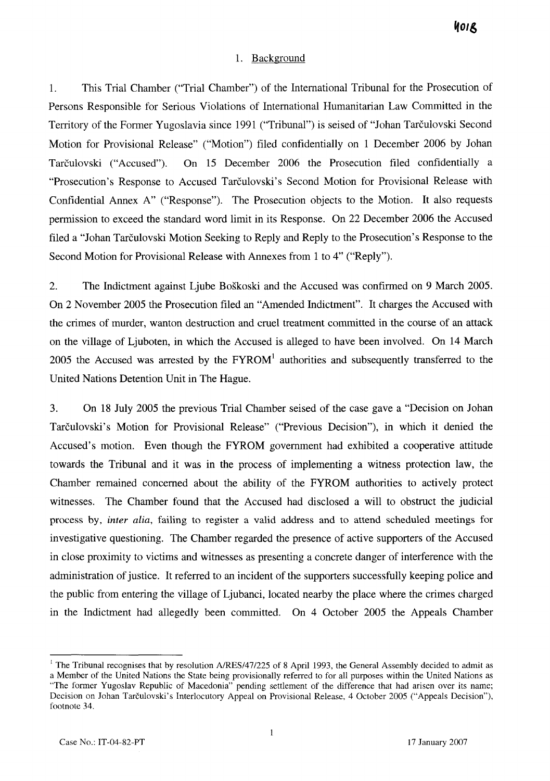#### 1. Background

1. This Trial Chamber ("Trial Chamber") of the International Tribunal for the Prosecution of Persons Responsible for Serious Violations of International Humanitarian Law Committed in the Territory of the Former Yugoslavia since 1991 ("Tribunal") is seised of "Johan Tarčulovski Second Motion for Provisional Release" ("Motion") filed confidentially on 1 December 2006 by Johan Tarčulovski ("Accused"). On 15 December 2006 the Prosecution filed confidentially a "Prosecution's Response to Accused Tarčulovski's Second Motion for Provisional Release with Confidential Annex A" ("Response"). The Prosecution objects to the Motion. It also requests permission to exceed the standard word limit in its Response. On 22 December 2006 the Accused filed a "Johan Tarčulovski Motion Seeking to Reply and Reply to the Prosecution's Response to the Second Motion for Provisional Release with Annexes from 1 to 4" ("Reply").

2. The Indictment against Ljube BoSkoski and the Accused was confirmed on 9 March 2005. On 2 November 2005 the Prosecution filed an "Amended Indictment". It charges the Accused with the crimes of murder, wanton destruction and cruel treatment committed in the course of an attack on the village of Ljuboten, in which the Accused is alleged to have been involved. On 14 March 2005 the Accused was arrested by the  $FYROM<sup>1</sup>$  authorities and subsequently transferred to the United Nations Detention Unit in The Hague.

**3.** On 18 July 2005 the previous Trial Chamber seised of the case gave a "Decision on Johan Tarëulovski's Motion for Provisional Release" ("Previous Decision"), in which it denied the Accused's motion. Even though the FYROM government had exhibited a cooperative attitude towards the Tribunal and it was in the process of implementing a witness protection law, the Chamber remained concerned about the ability of the FYROM authorities to actively protect witnesses. The Chamber found that the Accused had disclosed a will to obstruct the judicial process by, inter *alia,* failing to register a valid address and to attend scheduled meetings for investigative questioning. The Chamber regarded the presence of active supporters of the Accused in close proximity to victims and witnesses as presenting a concrete danger of interference with the administration of justice. It referred to an incident of the supporters successfully keeping police and the public from entering the village of Ljubanci, located nearby the place where the crimes charged in the Indictment had allegedly been comrnitted. On 4 October 2005 the Appeals Chamber

<sup>&</sup>lt;sup>1</sup> The Tribunal recognises that by resolution A/RES/47/225 of 8 April 1993, the General Assembly decided to admit as

a Member of the United Nations the State being provisionally referred to for al1 purposes within the United Nations as "The former Yugoslav Republic of Macedonia" pending settlement of the difference that had arisen over its name; Decision on Johan Tarčulovski's Interlocutory Appeal on Provisional Release, 4 October 2005 ("Appeals Decision"), footnote 34.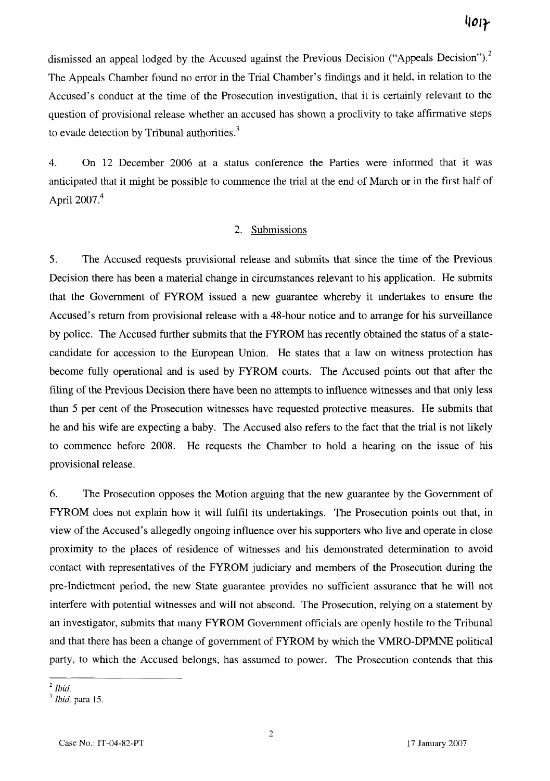dismissed an appeal lodged by the Accused against the Previous Decision ("Appeals Decision").<sup>2</sup> The Appeals Chamber found no error in the Trial Chamber's findings and it held, in relation to the Accused's conduct at the time of the Prosecution investigation, that it is certainly relevant to the question of provisional release whether an accused has shown a proclivity to take affirmative steps to evade detection by Tribunal authorities.<sup>3</sup>

4. On 12 December 2006 at a status conference the Parties were informed that it was anticipated that it might be possible to commence the trial at the end of March or in the first half of April 2007.<sup>4</sup>

#### 2. Submissions

**5.** The Accused requests provisional release and subrnits that since the time of the Previous Decision there has been a material change in circumstances relevant to his application. He submits that the Government of FYROM issued a new guarantee whereby it undertakes to ensure the Accused's retum from provisional release with a 48-hour notice and to arrange for his surveillance by police. The Accused further subrnits that the FYROM has recently obtained the status of a statecandidate for accession to the European Union. He states that a law on witness protection has become fully operational and is used by FYROM courts. The Accused points out that after the filing of the Previous Decision there have been no attempts to influence witnesses and that only less than *5* per cent of the Prosecution witnesses have requested protective measures. He submits that he and his wife are expecting a baby. The Accused also refers to the fact that the trial is not likely to commence before 2008. He requests the Charnber to hold a hearing on the issue of his provisional release.

6. The Prosecution opposes the Motion arguing that the new guarantee by the Government of FYROM does not explain how it will fulfil its undertakings. The Prosecution points out that, in view of the Accused's allegedly ongoing influence over his supporters who live and operate in close proximity to the places of residence of witnesses and his demonstrated determination to avoid contact with representatives of the FYROM judiciary and members of the Prosecution during the pre-Indictment period, the new State guarantee provides no sufficient assurance that he will not interfere with potential witnesses and will not abscond. The Prosecution, relying on a statement by an investigator, submits that many FYROM Government officials are openly hostile to the Tribunal and that there has been a change of government of FYROM by which the VMRO-DPMNE political Party, to which the Accused belongs, has assumed to power. The Prosecution contends that this

 $\boldsymbol{\delta}$ <sup>2</sup> Ibid.

**Ibid.** para 15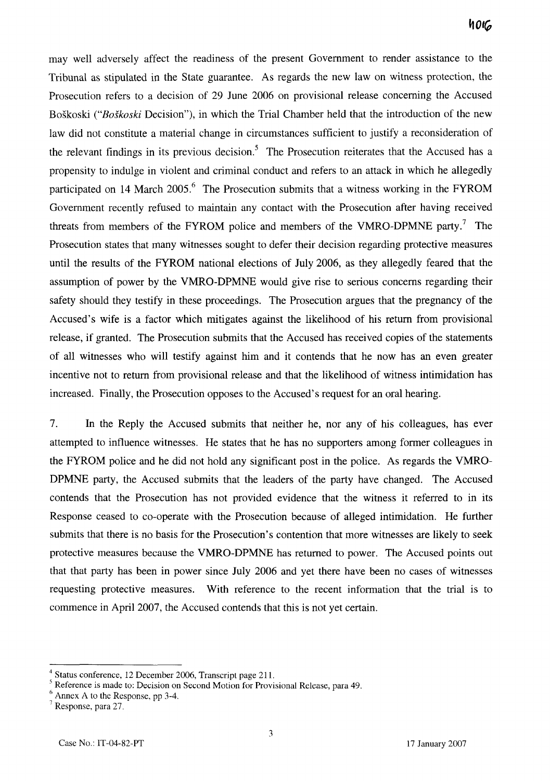may well adversely affect the readiness of the present Govemment to render assistance to the Tribunal as stipulated in the State guarantee. As regards the new law on witness protection, the Prosecution refers to a decision of 29 June 2006 on provisional release conceming the Accused BoSkoski *("Bofkoski* Decision"), in which the Trial Chamber held that the introduction of the new law did not constitute a material change in circumstances sufficient to justify a reconsideration of the relevant findings in its previous decision.<sup>5</sup> The Prosecution reiterates that the Accused has a propensity to indulge in violent and criminal conduct and refers to an attack in which he allegedly participated on 14 March 2005. $^{6}$  The Prosecution submits that a witness working in the FYROM Government recently refused to maintain any contact with the Prosecution after having received threats from members of the FYROM police and members of the VMRO-DPMNE party.<sup>7</sup> The Prosecution states that many witnesses sought to defer their decision regarding protective measures until the results of the FYROM national elections of July 2006, as they allegedly feared that the assumption of power by the VMRO-DPMNE would give rise to serious concerns regarding their safety should they testify in these proceedings. The Prosecution argues that the pregnancy of the Accused's wife is a factor which mitigates against the likelihood of his retum from provisional release, if granted. The Prosecution submits that the Accused has received copies of the statements of al1 witnesses who will testify against him and it contends that he now has an even greater incentive not to return from provisional release and that the likelihood of witness intimidation has increased. Finally, the Prosecution opposes to the Accused's request for an oral hearing.

7. In the Reply the Accused submits that neither he, nor any of his colleagues, has ever attempted to influence witnesses. He states that he has no supporters among former colleagues in the FYROM police and he did not hold any significant post in the police. As regards the VMRO-DPMNE party, the Accused submits that the leaders of the party have changed. The Accused contends that the Prosecution has not provided evidence that the witness it referred to in its Response ceased to co-operate with the Prosecution because of alleged intimidation. He further submits that there is no basis for the Prosecution's contention that more witnesses are likely to seek protective measures because the VMRO-DPMNE has returned to power. The Accused points out that that party has been in power since July 2006 and yet there have been no cases of witnesses requesting protective measures. With reference to the recent information that the trial is to commence in April 2007, the Accused contends that this is not yet certain.

Status conference, 12 December 2006, Transcript page 211.

Reference is made to: Decision on Second Motion for Provisional Release, para 49.

 $6$  Annex A to the Response, pp 3-4.

Response, para 27.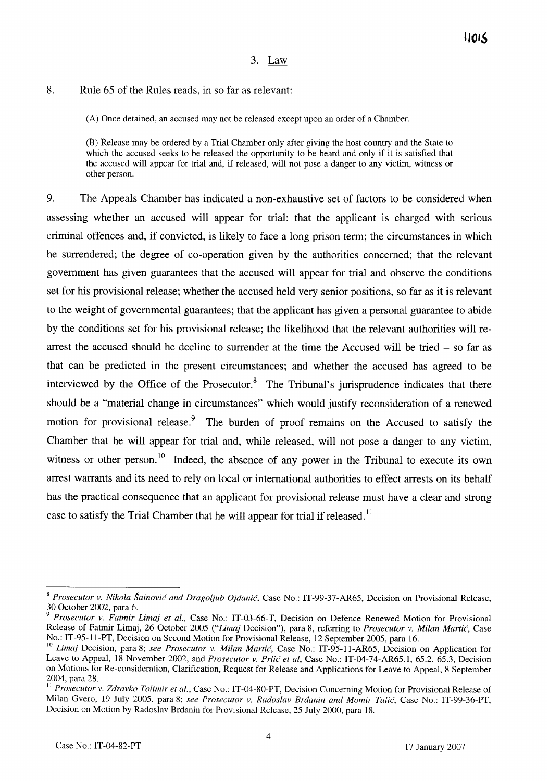#### 3. Law

# **8.** Rule 65 of the Rules reads, in so far as relevant:

(A) Once detained, an accused may not be released except upon an order of a Chamber.

(B) Release may be ordered by a Trial Chamber only after giving the host country and the State to which the accused seeks to be released the opportunity to be heard and only if it is satisfied that the accused will appear for trial and, if released, will not pose a danger to any victim, witness or other person.

9. The Appeals Chamber has indicated a non-exhaustive set of factors to be considered when assessing whether an accused will appear for trial: that the applicant is charged with serious crirninal offences and, if convicted, is likely to face a long prison term; the circumstances in which he surrendered; the degree of co-operation given by the authorities concerned; that the relevant government has given guarantees that the accused will appear for trial and observe the conditions set for his provisional release; whether the accused held very senior positions, so far as it is relevant to the weight of governmental guarantees; that the applicant has given a persona1 guarantee to abide by the conditions set for his provisional release; the likelihood that the relevant authorities will rearrest the accused should he decline to surrender at the time the Accused will be tried - so far as that can be predicted in the present circumstances; and whether the accused has agreed to be interviewed by the Office of the Prosecutor. $<sup>8</sup>$  The Tribunal's jurisprudence indicates that there</sup> should be a "material change in circumstances" which would justify reconsideration of a renewed motion for provisional release.<sup>9</sup> The burden of proof remains on the Accused to satisfy the Chamber that he will appear for trial and, while released, will not pose a danger to any victim, witness or other person.<sup>10</sup> Indeed, the absence of any power in the Tribunal to execute its own arrest warrants and its need to rely on local or international authorities to effect arrests on its behalf has the practical consequence that an applicant for provisional release must have a clear and strong case to satisfy the Trial Chamber that he will appear for trial if released.<sup>11</sup>

<sup>&</sup>lt;sup>8</sup> Prosecutor v. Nikola Šainović and Dragoljub Ojdanić, Case No.: IT-99-37-AR65, Decision on Provisional Release, 30 October 2002, para 6.

<sup>9</sup>*Prosecutor v. Fatmir Limaj et al.,* Case No.: IT-03-66-T, Decision on Defence Renewed Motion for Provisional Release of Fatmir Limaj, 26 October 2005 *("Limaj* Decision"), para 8, referring to *Prosecutor v. Milan MartiC,* Case No.: IT-95-11-PT, Decision on Second Motion for Provisional Release, 12 September 2005, para 16.

<sup>&</sup>lt;sup>10</sup> Limaj Decision, para 8; see Prosecutor v. Milan Martić, Case No.: IT-95-11-AR65, Decision on Application for Leave to Appeal, 18 November 2002, and *Prosecutor v. Prlić et al*, Case No.: IT-04-74-AR65.1, 65.2, 65.3, Decision on Motions for Re-consideration, Clarification, Request for Release and Applications for Leave to Appeai, 8 September 2004, para 28.

**<sup>11</sup>***Prosecutor v. Zdruvko Tolimir et al.,* Case No.: IT-04-80-PT, Decision Concerning Motion for Provisional Release of Milan Gvero, 19 July 2005, para 8; *see Prosecutor v. Radoslav Brdunin und Momir Talic',* Case No.: IT-99-36-PT, Decision on Motion by Radoslav Brdanin for Provisional Release, 25 July 2000, para 18.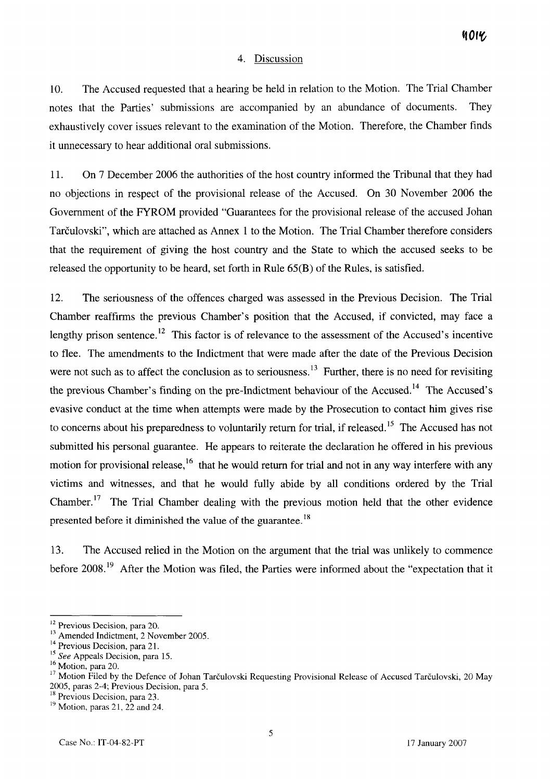### 4. Discussion

10. The Accused requested that a hearing be held in relation to the Motion. The Trial Chamber notes that the Parties' submissions are accompanied by an abundance of documents. They exhaustively cover issues relevant to the examination of the Motion. Therefore, the Chamber finds it unnecessary to hear additional oral submissions.

11. On 7 December 2006 the authorities of the host country informed the Tribunal that they had no objections in respect of the provisional release of the Accused. On 30 November 2006 the Government of the FYROM provided "Guarantees for the provisional release of the accused Johan Tarčulovski", which are attached as Annex 1 to the Motion. The Trial Chamber therefore considers that the requirement of giving the host country and the State to which the accused seeks to be released the opportunity to be heard, set forth in Rule 65(B) of the Rules, is satisfied.

12. The seriousness of the offences charged was assessed in the Previous Decision. The Trial Chamber reaffirms the previous Chamber's position that the Accused, if convicted, may face a lengthy prison sentence.<sup>12</sup> This factor is of relevance to the assessment of the Accused's incentive to flee. The amendments to the Indictment that were made after the date of the Previous Decision were not such as to affect the conclusion as to seriousness.<sup>13</sup> Further, there is no need for revisiting the previous Chamber's finding on the pre-Indictment behaviour of the Accused.<sup>14</sup> The Accused's evasive conduct at the time when attempts were made by the Prosecution to contact him gives rise to concerns about his preparedness to voluntarily return for trial, if released.<sup>15</sup> The Accused has not submitted his personal guarantee. He appears to reiterate the declaration he offered in his previous motion for provisional release,  $16$  that he would return for trial and not in any way interfere with any victims and witnesses, and that he would fully abide by al1 conditions ordered by the Trial Chamber.<sup>17</sup> The Trial Chamber dealing with the previous motion held that the other evidence presented before it diminished the value of the guarantee.<sup>18</sup>

13. The Accused relied in the Motion on the argument that the trial was unlikely to commence before 2008.<sup>19</sup> After the Motion was filed, the Parties were informed about the "expectation that it

 $^{12}$  Previous Decision, para 20.<br> $^{13}$  Amended Indictment, 2 November 2005.

Theorem Interaction, para 21.<br>
<sup>15</sup> See Appeals Decision, para 15.<br>
<sup>15</sup> See Appeals Decision, para 15.<br>
<sup>16</sup> Motion, para 20.<br>
<sup>17</sup> Motion Filed by the Defence of Johan Tarčulovski Requesting Provisional Release of Accus 2005, paras 2-4; Previous Decision, para 5.<br><sup>18</sup> Previous Decision, para 23.

 $19$  Motion, paras 21, 22 and 24.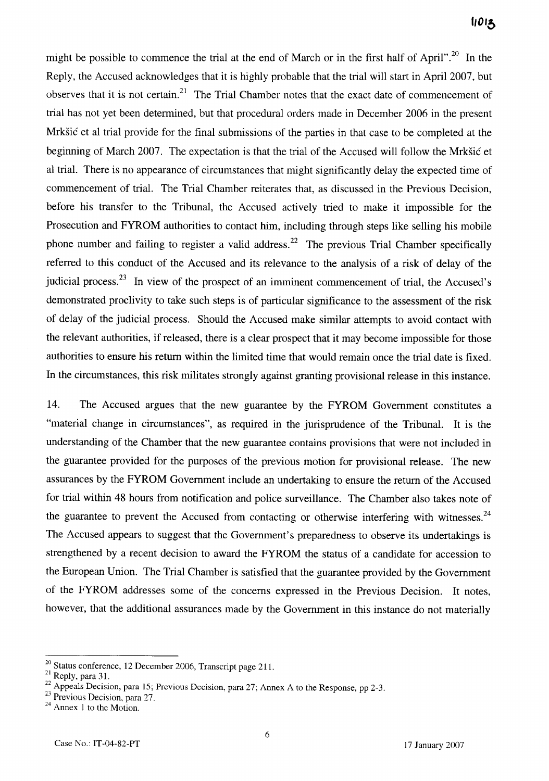might be possible to commence the trial at the end of March or in the first half of April".<sup>20</sup> In the Reply, the Accused acknowledges that it is highly probable that the trial will start in April2007, but observes that it is not certain.<sup>21</sup> The Trial Chamber notes that the exact date of commencement of trial has not yet been determined, but that procedural orders made in December 2006 in the present Mrkšić et al trial provide for the final submissions of the parties in that case to be completed at the beginning of March 2007. The expectation is that the trial of the Accused will follow the Mrkšić et al trial. There is no appearance of circumstances that might significantly delay the expected time of commencement of trial. The Trial Chamber reiterates that, as discussed in the Previous Decision, before his transfer to the Tribunal, the Accused actively tried to make it impossible for the Prosecution and FYROM authorities to contact him, including through steps like selling his mobile phone number and failing to register a valid address.<sup>22</sup> The previous Trial Chamber specifically referred to this conduct of the Accused and its relevance to the analysis of a risk of delay of the judicial process.<sup>23</sup> In view of the prospect of an imminent commencement of trial, the Accused's demonstrated proclivity to take such steps is of particular significance to the assessment of the risk of delay of the judicial process. Should the Accused make sirnilar attempts to avoid contact with the relevant authorities, if released, there is a clear prospect that it may become impossible for those authorities to ensure his return within the limited time that would remain once the trial date is fixed. In the circumstances, this risk militates strongly against granting provisional release in this instance.

14. The Accused argues that the new guarantee by the FYROM Govemment constitutes a "material change in circumstances", as required in the jurisprudence of the Tribunal. It is the understanding of the Chamber that the new guarantee contains provisions that were not included in the guarantee provided for the purposes of the previous motion for provisional release. The new assurances by the FYROM Government include an undertaking to ensure the return of the Accused for trial within 48 hours from notification and police surveillance. The Chamber also takes note of the guarantee to prevent the Accused from contacting or otherwise interfering with witnesses. $^{24}$ The Accused appears to suggest that the Government's preparedness to observe its undertakings is strengthened by a recent decision to award the FYROM the status of a candidate for accession to the European Union. The Trial Charnber is satisfied that the guarantee provided by the Government of the FYROM addresses some of the concerns expressed in the Previous Decision. It notes, however, that the additional assurances made by the Government in this instance do not materially

<sup>&</sup>lt;sup>20</sup> Status conference, 12 December 2006, Transcript page 211.<br><sup>21</sup> Reply, para 31.

<sup>2</sup>**<sup>1</sup>***Reply, para* **3** *1.* <sup>22</sup>*Appeals Decision, para 15; Previous Decision, para 27; Annex A to the Response, pp 2-3.* 

**<sup>23</sup>***Previous Decision, para 27.* <sup>24</sup>*Annex 1 to the Motion.*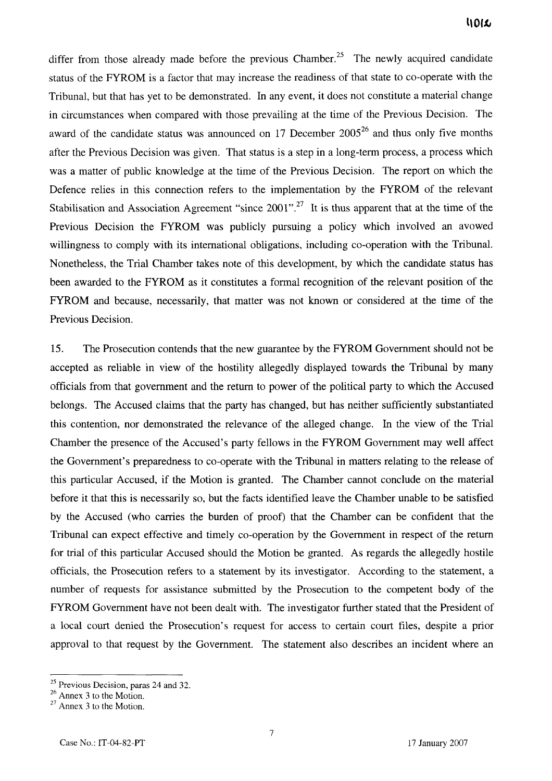differ from those already made before the previous Chamber.<sup>25</sup> The newly acquired candidate status of the FYROM is a factor that may increase the readiness of that state to co-operate with the Tribunal, but that has yet to be demonstrated. In any event, it does not constitute a material change in circumstances when compared with those prevailing at the time of the Previous Decision. The award of the candidate status was announced on 17 December  $2005^{26}$  and thus only five months after the Previous Decision was given. That status is a step in a long-term process, a process which was a matter of public knowledge at the time of the Previous Decision. The report on which the Defence relies in this connection refers to the implementation by the FYROM of the relevant Stabilisation and Association Agreement "since 2001".<sup>27</sup> It is thus apparent that at the time of the Previous Decision the FYROM was publicly pursuing a policy which involved an avowed willingness to comply with its international obligations, including co-operation with the Tribunal. Nonetheless, the Trial Charnber takes note of this development, by which the candidate status has been awarded to the FYROM as it constitutes a formal recognition of the relevant position of the FYROM and because, necessarily, that matter was not known or considered at the time of the Previous Decision.

15. The Prosecution contends that the new guarantee by the FYROM Government should not be accepted as reliable in view of the hostility allegedly displayed towards the Tribunal by many officials from that government and the return to power of the political party to which the Accused belongs. The Accused claims that the party has changed, but has neither sufficiently substantiated this contention, nor demonstrated the relevance of the alleged change. In the view of the Trial Chamber the presence of the Accused's party fellows in the FYROM Government may well affect the Government's preparedness to CO-operate with the Tribunal in matters relating to the release of this particular Accused, if the Motion is granted. The Charnber cannot conclude on the material before it that this is necessarily so, but the facts identified leave the Chamber unable to be satisfied by the Accused (who carries the burden of proof) that the Chamber can be confident that the Tribunal can expect effective and timely co-operation by the Government in respect of the return for trial of this particular Accused should the Motion be granted. As regards the allegedly hostile officials, the Prosecution refers to a statement by its investigator. According to the statement, a number of requests for assistance submitted by the Prosecution to the competent body of the FYROM Government have not been dealt with. The investigator further stated that the President of a local court denied the Prosecution's request for access to certain court files, despite a prior approval to that request by the Government. The statement also describes an incident where an

<sup>&</sup>lt;sup>25</sup> Previous Decision, paras 24 and 32.<br><sup>26</sup> Annex 3 to the Motion.

<sup>&</sup>lt;sup>27</sup> Annex 3 to the Motion.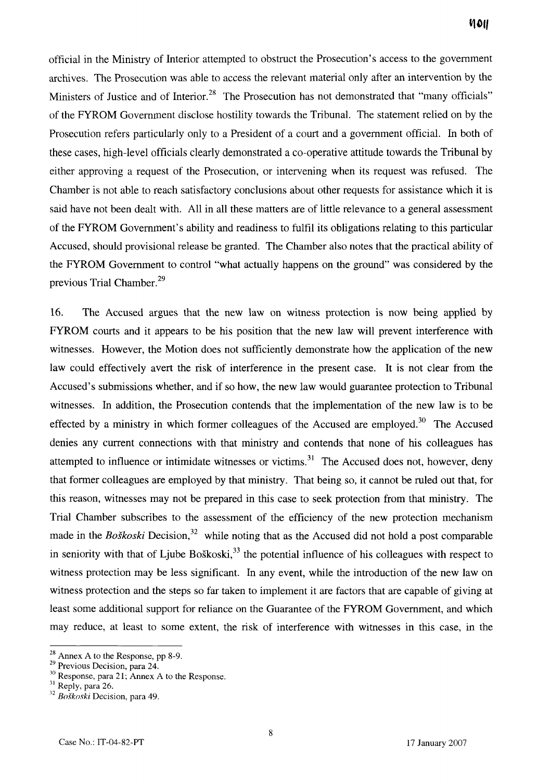officia1 in the Ministry of Interior attempted to obstmct the Prosecution's access to the government archives. The Prosecution was able to access the relevant material only after an intervention by the Ministers of Justice and of Interior.<sup>28</sup> The Prosecution has not demonstrated that "many officials" of the FYROM Government disclose hostility towards the Tribunal. The statement relied on by the Prosecution refers particularly only to a President of a court and a government official. In both of these cases, high-level officials clearly demonstrated a CO-operative attitude towards the Tribunal by either approving a request of the Prosecution, or intervening when its request was refused. The Charnber is not able to reach satisfactory conclusions about other requests for assistance whch it is said have not been dealt with. Al1 in al1 these matters are of little relevance to a general assessment of the FYROM Government's ability and readiness to fulfil its obligations relating to this particular Accused, should provisional release be granted. The Chamber also notes that the practical ability of the FYROM Government to control "what actually happens on the ground" was considered by the previous Trial Chamber. $^{29}$ 

16. The Accused argues that the new law on witness protection is now being applied by FYROM courts and it appears to be his position that the new law will prevent interference with witnesses. However, the Motion does not sufficiently demonstrate how the application of the new law could effectively avert the risk of interference in the present case. It is not clear from the Accused's submissions whether, and if so how, the new law would guarantee protection to Tribunal witnesses. In addition, the Prosecution contends that the implementation of the new law is to be effected by a ministry in which former colleagues of the Accused are employed.<sup>30</sup> The Accused denies any current connections with that ministry and contends that none of his colleagues has attempted to influence or intimidate witnesses or victims.<sup>31</sup> The Accused does not, however, deny that former colleagues are employed by that ministry. That being so, it cannot be ruled out that, for this reason, witnesses may not be prepared in this case to seek protection from that ministry. The Trial Chamber subscribes to the assessment of the efficiency of the new protection mechanism made in the *Boškoski* Decision,<sup>32</sup> while noting that as the Accused did not hold a post comparable in seniority with that of Ljube Boškoski, $^{33}$  the potential influence of his colleagues with respect to witness protection may be less significant. In any event, while the introduction of the new law on witness protection and the steps so far taken to implement it are factors that are capable of giving at least some additional support for reliance on the Guarantee of the FYROM Government, and which may reduce, at least to some extent, the risk of interference with witnesses in this case, in the

<sup>&</sup>lt;sup>28</sup> Annex A to the Response, pp 8-9.<br><sup>29</sup> Previous Decision, para 24.

<sup>&</sup>lt;sup>30</sup> Response, para 21; Annex A to the Response.<br><sup>31</sup> Reply, para 26. *32 Boškoski* Decision, para 49.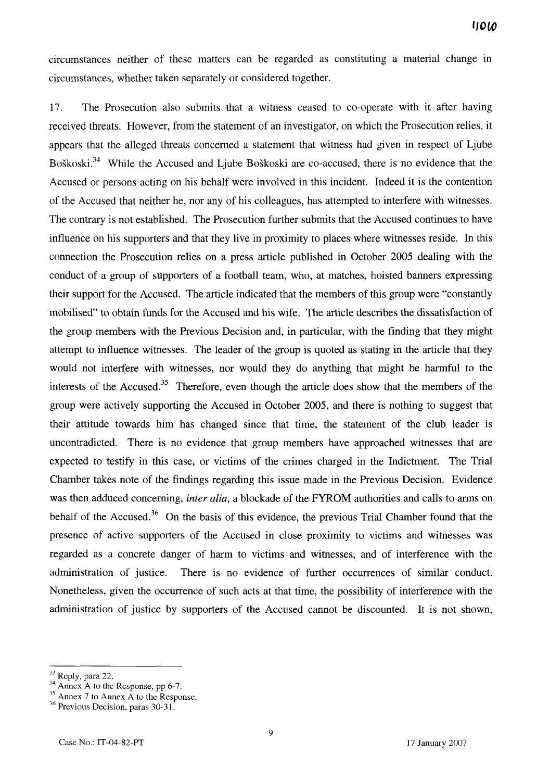circumstances neither of these matters can be regarded as constituting a material change in circumstances, whether taken separately or considered together.

17. The Prosecution also submits that a witness ceased to CO-operate with it after having received threats. However, from the statement of an investigator, on which the Prosecution relies, it appears that the alleged threats concerned a statement that witness had given in respect of Ljube Boškoski.<sup>34</sup> While the Accused and Ljube Boškoski are co-accused, there is no evidence that the Accused or persons acting on his behalf were involved in this incident. Indeed it is the contention of the Accused that neither he, nor any of his colleagues, has attempted to interfere with witnesses. The contrary is not established. The Prosecution further submits that the Accused continues to have influence on his supporters and that they live in proximity to places where witnesses reside. In this connection the Prosecution relies on a press article published in October 2005 dealing with the conduct of a group of supporters of a football team, who, at matches, hoisted banners expressing their support for the Accused. The article indicated that the members of this group were "constantly mobilised" to obtain funds for the Accused and his wife. The article describes the dissatisfaction of the group members with the Previous Decision and, in particular, with the finding that they might attempt to influence witnesses. The leader of the group is quoted as stating in the article that they would not interfere with witnesses, nor would they do anything that might be harmful to the interests of the  $Accused.<sup>35</sup>$  Therefore, even though the article does show that the members of the group were actively supporting the Accused in October 2005, and there is nothing to suggest that their attitude towards him has changed since that time, the statement of the club leader is uncontradicted. There is no evidence that group members have approached witnesses that are expected to testify in this case, or victims of the crimes charged in the Indictment. The Trial Chamber takes note of the findings regarding this issue made in the Previous Decision. Evidence was then adduced concerning, inter alia, a blockade of the FYROM authorities and calls to arms on behalf of the Accused.<sup>36</sup> On the basis of this evidence, the previous Trial Chamber found that the presence of active supporters of the Accused in close proximity to victims and witnesses was regarded as a concrete danger of harm to victims and witnesses, and of interference with the administration of justice. There is no evidence of further occurrences of similar conduct. Nonetheless, given the occurrence of such acts at that time, the possibility of interference with the administration of justice by supporters of the Accused cannot be discounted. It is not shown,

<sup>&</sup>lt;sup>33</sup> Reply, para 22.<br><sup>34</sup> Annex A to the Response, pp 6-7.<br><sup>35</sup> Annex 7 to Annex A to the Response. <sup>36</sup> Previous Decision, paras 30-31.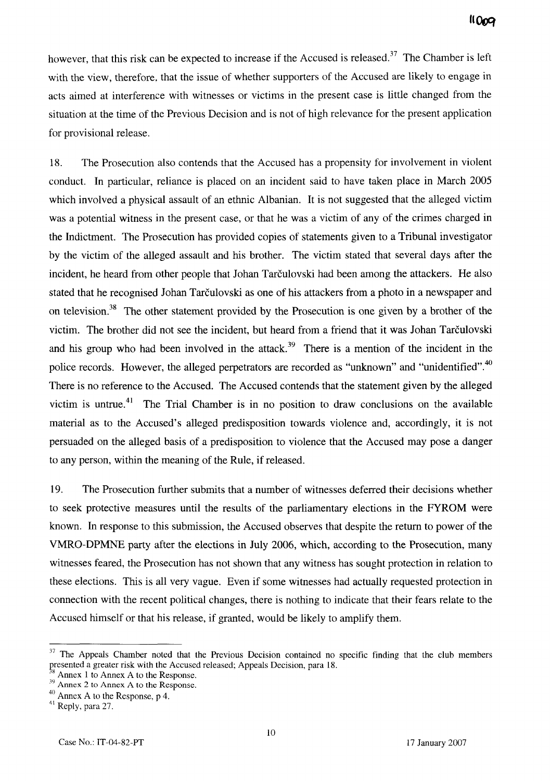however, that this risk can be expected to increase if the Accused is released.<sup>37</sup> The Chamber is left with the view, therefore, that the issue of whether supporters of the Accused are likely to engage in acts aimed at interference with witnesses or victims in the present case is little changed from the situation at the time of the Previous Decision and is not of high relevance for the present application for provisional release.

**18.** The Prosecution also contends that the Accused has a propensity for involvement in violent conduct. In particular, reliance is placed on an incident said to have taken place in March 2005 which involved a physical assault of an ethnic Albanian. It is not suggested that the alleged victim was a potential witness in the present case, or that he was a victim of any of the crimes charged in the Indictment. The Prosecution has provided copies of statements given to a Tribunal investigator by the victim of the alleged assault and his brother. The victim stated that several days after the incident, he heard from other people that Johan Tarčulovski had been among the attackers. He also stated that he recognised Johan Tarčulovski as one of his attackers from a photo in a newspaper and on television.<sup>38</sup> The other statement provided by the Prosecution is one given by a brother of the victim. The brother did not see the incident, but heard from a friend that it was Johan Tarčulovski and his group who had been involved in the attack.<sup>39</sup> There is a mention of the incident in the police records. However, the alleged perpetrators are recorded as "unknown" and "unidentified".<sup>40</sup> There is no reference to the Accused. The Accused contends that the statement given by the alleged victim is untrue.<sup>41</sup> The Trial Chamber is in no position to draw conclusions on the available material as to the Accused's alleged predisposition towards violence and, accordingly, it is not persuaded on the alleged basis of a predisposition to violence that the Accused may pose a danger to any person, within the meaning of the Rule, if released.

19. The Prosecution further submits that a number of witnesses deferred their decisions whether to seek protective measures until the results of the parliamentary elections in the FYROM were known. In response to this submission, the Accused observes that despite the return to power of the VMRO-DPMNE party after the elections in July 2006, which, according to the Prosecution, many witnesses feared, the Prosecution has not shown that any witness has sought protection in relation to these elections. This is al1 very vague. Even if some witnesses had actually requested protection in connection with the recent political changes, there is nothing to indicate that their fears relate to the Accused himself or that his release, if granted, would be likely to amplify them.

 $37$  The Appeals Chamber noted that the Previous Decision contained no specific finding that the club members The Appeals Chamber noted that the Previous Decision contained no spresented a greater risk with the Accused released; Appeals Decision, para 18.  $^{39}$  Annex 2 to Annex A to the Response.

<sup>&</sup>lt;sup>40</sup> Annex A to the Response, p 4.<br><sup>41</sup> Reply, para 27.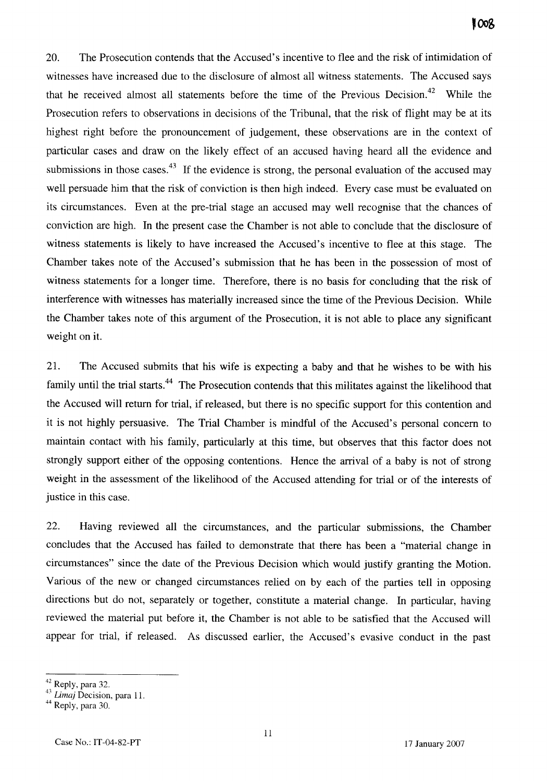20. The Prosecution contends that the Accused's incentive to flee and the risk of intimidation of witnesses have increased due to the disclosure of almost al1 witness statements. The Accused says that he received almost all statements before the time of the Previous Decision.<sup>42</sup> While the Prosecution refers to observations in decisions of the Tribunal, that the risk of flight may be at its highest right before the pronouncement of judgement, these observations are in the context of particular cases and draw on the likely effect of an accused having heard al1 the evidence and submissions in those cases.<sup>43</sup> If the evidence is strong, the personal evaluation of the accused may well persuade him that the risk of conviction is then high indeed. Every case must be evaluated on its circumstances. Even at the pre-trial stage an accused may well recognise that the chances of conviction are high. In the present case the Chamber is not able to conclude that the disclosure of witness statements is likely to have increased the Accused's incentive to flee at this stage. The Chamber takes note of the Accused's submission that he has been in the possession of most of witness statements for a longer time. Therefore, there is no basis for concluding that the risk of interference with witnesses has materially increased since the time of the Previous Decision. While the Chamber takes note of this argument of the Prosecution, it is not able to place any significant weight on it.

21. The Accused submits that his wife is expecting a baby and that he wishes to be with his family until the trial starts.<sup>44</sup> The Prosecution contends that this militates against the likelihood that the Accused will return for trial, if released, but there is no specific support for this contention and it is not highly persuasive. The Trial Charnber is mindful of the Accused's persona1 concern to maintain contact with his family, particularly at this time, but observes that this factor does not strongly support either of the opposing contentions. Hence the arriva1 of a baby is not of strong weight in the assessment of the likelihood of the Accused attending for trial or of the interests of justice in this case.

22. Having reviewed al1 the circumstances, and the particular submissions, the Chamber concludes that the Accused has failed to demonstrate that there has been a "material change in circumstances" since the date of the Previous Decision which would justify granting the Motion. Various of the new or changed circumstances relied on by each of the parties tell in opposing directions but do not, separately or together, constitute a material change. In particular, having reviewed the material put before it, the Chamber is not able to be satisfied that the Accused will appear for trial, if released. As discussed earlier, the Accused's evasive conduct in the past

 $^{2}$  Reply, para 32.

<sup>&</sup>lt;sup>3</sup> *Limaj* Decision, para 11.<br><sup>4</sup> Reply, para 30.